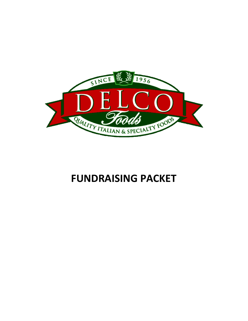

# **FUNDRAISING PACKET**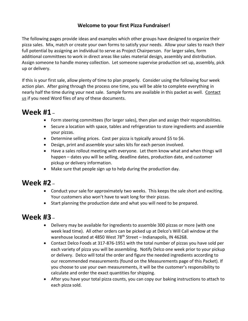### **Welcome to your first Pizza Fundraiser!**

The following pages provide ideas and examples which other groups have designed to organize their pizza sales. Mix, match or create your own forms to satisfy your needs. Allow your sales to reach their full potential by assigning an individual to serve as Project Chairperson. For larger sales, form additional committees to work in direct areas like sales material design, assembly and distribution. Assign someone to handle money collection. Let someone supervise production set up, assembly, pick up or delivery.

If this is your first sale, allow plenty of time to plan properly. Consider using the following four week action plan. After going through the process one time, you will be able to complete everything in nearly half the time during your next sale. Sample forms are available in this packet as well. Contact us if you need Word files of any of these documents.

# **Week #1** –

- Form steering committees (for larger sales), then plan and assign their responsibilities.
- Secure a location with space, tables and refrigeration to store ingredients and assemble your pizzas.
- Determine selling prices. Cost per pizza is typically around \$5 to \$6.
- Design, print and assemble your sales kits for each person involved.
- Have a sales rollout meeting with everyone. Let them know what and when things will happen – dates you will be selling, deadline dates, production date, and customer pickup or delivery information.
- Make sure that people sign up to help during the production day.

# **Week #2** –

- Conduct your sale for approximately two weeks. This keeps the sale short and exciting. Your customers also won't have to wait long for their pizzas.
- Start planning the production date and what you will need to be prepared.

## **Week #3** –

- Delivery may be available for ingredients to assemble 300 pizzas or more (with one week lead time). All other orders can be picked up at Delco's Will Call window at the warehouse located at 4850 West 78<sup>th</sup> Street – Indianapolis, IN 46268.
- Contact Delco Foods at 317-876-1951 with the total number of pizzas you have sold per each variety of pizza you will be assembling. Notify Delco one week prior to your pickup or delivery. Delco will total the order and figure the needed ingredients according to our recommended measurements (found on the Measurements page of this Packet). If you choose to use your own measurements, it will be the customer's responsibility to calculate and order the exact quantities for shipping.
- After you have your total pizza counts, you can copy our baking instructions to attach to each pizza sold.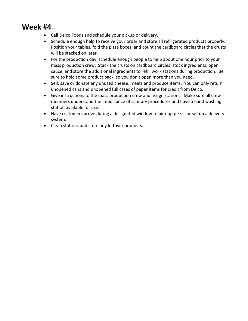# **Week #4** –

- Call Delco Foods and schedule your pickup or delivery.
- Schedule enough help to receive your order and store all refrigerated products properly. Position your tables, fold the pizza boxes, and count the cardboard circles that the crusts will be stacked on later.
- For the production day, schedule enough people to help about one hour prior to your mass production crew. Stack the crusts on cardboard circles, stock ingredients, open sauce, and store the additional ingredients to refill work stations during production. Be sure to hold some product back, so you don't open more than you need.
- Sell, save or donate any unused cheese, meats and produce items. You can only return unopened cans and unopened full cases of paper items for credit from Delco.
- Give instructions to the mass production crew and assign stations. Make sure all crew members understand the importance of sanitary procedures and have a hand washing station available for use.
- Have customers arrive during a designated window to pick up pizzas or set up a delivery system.
- Clean stations and store any leftover products.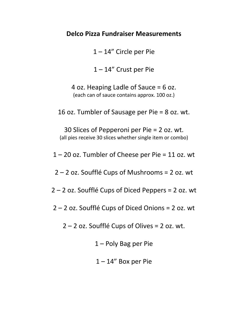### **Delco Pizza Fundraiser Measurements**

1 – 14" Circle per Pie

1 – 14" Crust per Pie

4 oz. Heaping Ladle of Sauce = 6 oz. (each can of sauce contains approx. 100 oz.)

16 oz. Tumbler of Sausage per Pie = 8 oz. wt.

30 Slices of Pepperoni per Pie = 2 oz. wt. (all pies receive 30 slices whether single item or combo)

1 – 20 oz. Tumbler of Cheese per Pie = 11 oz. wt

2 – 2 oz. Soufflé Cups of Mushrooms = 2 oz. wt

2 – 2 oz. Soufflé Cups of Diced Peppers = 2 oz. wt

2 – 2 oz. Soufflé Cups of Diced Onions = 2 oz. wt

2 – 2 oz. Soufflé Cups of Olives = 2 oz. wt.

1 – Poly Bag per Pie

 $1 - 14$ " Box per Pie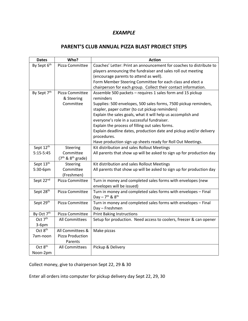### **PARENT'S CLUB ANNUAL PIZZA BLAST PROJECT STEPS**

| <b>Dates</b>           | Who?                  | <b>Action</b>                                                        |  |  |  |  |
|------------------------|-----------------------|----------------------------------------------------------------------|--|--|--|--|
| By Sept 6th            | Pizza Committee       | Coaches' Letter: Print an announcement for coaches to distribute to  |  |  |  |  |
|                        |                       | players announcing the fundraiser and sales roll out meeting         |  |  |  |  |
|                        |                       | (encourage parents to attend as well).                               |  |  |  |  |
|                        |                       | Form Member Steering Committee for each class and elect a            |  |  |  |  |
|                        |                       | chairperson for each group. Collect their contact information.       |  |  |  |  |
| By Sept 7th            | Pizza Committee       | Assemble 500 packets - requires 1 sales form and 15 pickup           |  |  |  |  |
|                        | & Steering            | reminders                                                            |  |  |  |  |
|                        | Committee             | Supplies: 500 envelopes, 500 sales forms, 7500 pickup reminders,     |  |  |  |  |
|                        |                       | stapler, paper cutter (to cut pickup reminders)                      |  |  |  |  |
|                        |                       | Explain the sales goals, what it will help us accomplish and         |  |  |  |  |
|                        |                       | everyone's role in a successful fundraiser.                          |  |  |  |  |
|                        |                       | Explain the process of filling out sales forms.                      |  |  |  |  |
|                        |                       | Explain deadline dates, production date and pickup and/or delivery   |  |  |  |  |
|                        |                       | procedures.                                                          |  |  |  |  |
|                        |                       | Have production sign up sheets ready for Roll Out Meetings.          |  |  |  |  |
| Sept 12th              | Steering              | Kit distribution and sales Rollout Meetings                          |  |  |  |  |
| $5:15-5:45$            | Committee             | All parents that show up will be asked to sign up for production day |  |  |  |  |
|                        | $(7th$ & $8th$ grade) |                                                                      |  |  |  |  |
| Sept 13th              | Steering              | Kit distribution and sales Rollout Meetings                          |  |  |  |  |
| 5:30-6pm               | Committee             | All parents that show up will be asked to sign up for production day |  |  |  |  |
|                        | (Freshmen)            |                                                                      |  |  |  |  |
| Sept 22nd              | Pizza Committee       | Turn in money and completed sales forms with envelopes (new          |  |  |  |  |
|                        |                       | envelopes will be issued)                                            |  |  |  |  |
| Sept 28 <sup>th</sup>  | Pizza Committee       | Turn in money and completed sales forms with envelopes - Final       |  |  |  |  |
|                        |                       | Day - $7^{th}$ & $8^{th}$                                            |  |  |  |  |
| Sept 29th              | Pizza Committee       | Turn in money and completed sales forms with envelopes - Final       |  |  |  |  |
|                        |                       | Day - Freshmen                                                       |  |  |  |  |
| By Oct 7 <sup>th</sup> | Pizza Committee       | <b>Print Baking Instructions</b>                                     |  |  |  |  |
| Oct 7 <sup>th</sup>    | All Committees        | Setup for production. Need access to coolers, freezer & can opener   |  |  |  |  |
| $3-6$ pm               |                       |                                                                      |  |  |  |  |
| Oct 8 <sup>th</sup>    | All Committees &      | Make pizzas                                                          |  |  |  |  |
| 7am-noon               | Pizza Production      |                                                                      |  |  |  |  |
|                        | Parents               |                                                                      |  |  |  |  |
| Oct 8 <sup>th</sup>    | All Committees        | Pickup & Delivery                                                    |  |  |  |  |
| Noon-2pm               |                       |                                                                      |  |  |  |  |

Collect money, give to chairperson Sept 22, 29 & 30

Enter all orders into computer for pickup delivery day Sept 22, 29, 30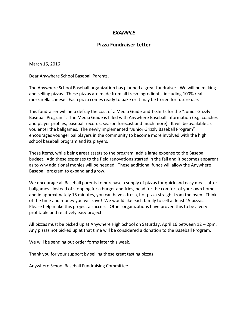#### **Pizza Fundraiser Letter**

March 16, 2016

Dear Anywhere School Baseball Parents,

The Anywhere School Baseball organization has planned a great fundraiser. We will be making and selling pizzas. These pizzas are made from all fresh ingredients, including 100% real mozzarella cheese. Each pizza comes ready to bake or it may be frozen for future use.

This fundraiser will help defray the cost of a Media Guide and T-Shirts for the "Junior Grizzly Baseball Program". The Media Guide is filled with Anywhere Baseball information (e.g. coaches and player profiles, baseball records, season forecast and much more). It will be available as you enter the ballgames. The newly implemented "Junior Grizzly Baseball Program" encourages younger ballplayers in the community to become more involved with the high school baseball program and its players.

These items, while being great assets to the program, add a large expense to the Baseball budget. Add these expenses to the field renovations started in the fall and it becomes apparent as to why additional monies will be needed. These additional funds will allow the Anywhere Baseball program to expand and grow.

We encourage all Baseball parents to purchase a supply of pizzas for quick and easy meals after ballgames. Instead of stopping for a burger and fries, head for the comfort of your own home, and in approximately 15 minutes, you can have a fresh, hot pizza straight from the oven. Think of the time and money you will save! We would like each family to sell at least 15 pizzas. Please help make this project a success. Other organizations have proven this to be a very profitable and relatively easy project.

All pizzas must be picked up at Anywhere High School on Saturday, April 16 between 12 – 2pm. Any pizzas not picked up at that time will be considered a donation to the Baseball Program.

We will be sending out order forms later this week.

Thank you for your support by selling these great tasting pizzas!

Anywhere School Baseball Fundraising Committee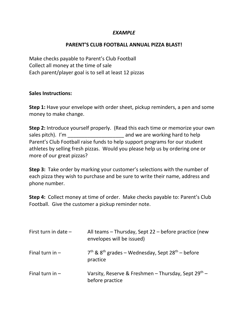#### **PARENT'S CLUB FOOTBALL ANNUAL PIZZA BLAST!**

Make checks payable to Parent's Club Football Collect all money at the time of sale Each parent/player goal is to sell at least 12 pizzas

#### **Sales Instructions:**

**Step 1:** Have your envelope with order sheet, pickup reminders, a pen and some money to make change.

**Step 2:** Introduce yourself properly. (Read this each time or memorize your own sales pitch). I'm \_\_\_\_\_\_\_\_\_\_\_\_\_\_\_\_\_\_\_\_ and we are working hard to help Parent's Club Football raise funds to help support programs for our student athletes by selling fresh pizzas. Would you please help us by ordering one or more of our great pizzas?

**Step 3:** Take order by marking your customer's selections with the number of each pizza they wish to purchase and be sure to write their name, address and phone number.

**Step 4:** Collect money at time of order. Make checks payable to: Parent's Club Football. Give the customer a pickup reminder note.

| First turn in date $-$ | All teams – Thursday, Sept 22 – before practice (new<br>envelopes will be issued)      |
|------------------------|----------------------------------------------------------------------------------------|
| Final turn in $-$      | $7th$ & 8 <sup>th</sup> grades – Wednesday, Sept 28 <sup>th</sup> – before<br>practice |
| Final turn in $-$      | Varsity, Reserve & Freshmen - Thursday, Sept 29th -<br>before practice                 |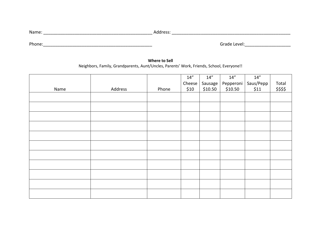| Name                                    | $\sim$ $\sim$ $\sim$       |
|-----------------------------------------|----------------------------|
|                                         |                            |
| Phone.<br>________________<br>_________ | Grado<br>_________________ |

#### **Where to Sell** Neighbors, Family, Grandparents, Aunt/Uncles, Parents' Work, Friends, School, Everyone!!

|      |         |       | $14^{\prime\prime}$ | $14''$  | 14''      | 14''      |                   |
|------|---------|-------|---------------------|---------|-----------|-----------|-------------------|
|      |         |       | Cheese              | Sausage | Pepperoni | Saus/Pepp | Total<br>\$\$\$\$ |
| Name | Address | Phone | \$10                | \$10.50 | \$10.50   | \$11      |                   |
|      |         |       |                     |         |           |           |                   |
|      |         |       |                     |         |           |           |                   |
|      |         |       |                     |         |           |           |                   |
|      |         |       |                     |         |           |           |                   |
|      |         |       |                     |         |           |           |                   |
|      |         |       |                     |         |           |           |                   |
|      |         |       |                     |         |           |           |                   |
|      |         |       |                     |         |           |           |                   |
|      |         |       |                     |         |           |           |                   |
|      |         |       |                     |         |           |           |                   |
|      |         |       |                     |         |           |           |                   |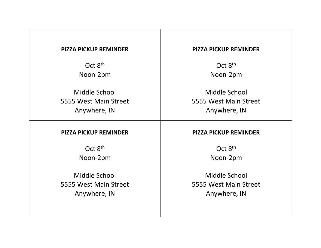### **PIZZA PICKUP REMINDER**

Oct 8<sup>th</sup> Noon-2pm

Middle School 5555 West Main Street Anywhere, IN

#### **PIZZA PICKUP REMINDER**

Oct 8<sup>th</sup> Noon-2pm

Middle School 5555 West Main Street Anywhere, IN

#### **PIZZA PICKUP REMINDER**

Oct 8<sup>th</sup> Noon-2pm

Middle School 5555 West Main Street Anywhere, IN

#### **PIZZA PICKUP REMINDER**

Oct 8<sup>th</sup> Noon-2pm

Middle School 5555 West Main Street Anywhere, IN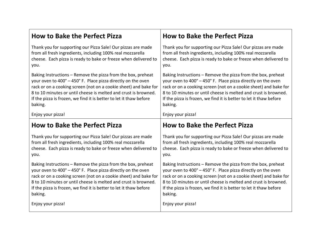| <b>How to Bake the Perfect Pizza</b>                               | <b>How to Bake the Perfect Pizza</b>                               |  |  |  |
|--------------------------------------------------------------------|--------------------------------------------------------------------|--|--|--|
| Thank you for supporting our Pizza Sale! Our pizzas are made       | Thank you for supporting our Pizza Sale! Our pizzas are made       |  |  |  |
| from all fresh ingredients, including 100% real mozzarella         | from all fresh ingredients, including 100% real mozzarella         |  |  |  |
| cheese. Each pizza is ready to bake or freeze when delivered to    | cheese. Each pizza is ready to bake or freeze when delivered to    |  |  |  |
| you.                                                               | you.                                                               |  |  |  |
| Baking Instructions - Remove the pizza from the box, preheat       | Baking Instructions - Remove the pizza from the box, preheat       |  |  |  |
| your oven to 400° - 450° F. Place pizza directly on the oven       | your oven to 400° - 450° F. Place pizza directly on the oven       |  |  |  |
| rack or on a cooking screen (not on a cookie sheet) and bake for   | rack or on a cooking screen (not on a cookie sheet) and bake for   |  |  |  |
| 8 to 10 minutes or until cheese is melted and crust is browned.    | 8 to 10 minutes or until cheese is melted and crust is browned.    |  |  |  |
| If the pizza is frozen, we find it is better to let it thaw before | If the pizza is frozen, we find it is better to let it thaw before |  |  |  |
| baking.                                                            | baking.                                                            |  |  |  |
| Enjoy your pizza!                                                  | Enjoy your pizza!                                                  |  |  |  |
| <b>How to Bake the Perfect Pizza</b>                               | <b>How to Bake the Perfect Pizza</b>                               |  |  |  |
| Thank you for supporting our Pizza Sale! Our pizzas are made       | Thank you for supporting our Pizza Sale! Our pizzas are made       |  |  |  |
| from all fresh ingredients, including 100% real mozzarella         | from all fresh ingredients, including 100% real mozzarella         |  |  |  |
| cheese. Each pizza is ready to bake or freeze when delivered to    | cheese. Each pizza is ready to bake or freeze when delivered to    |  |  |  |
| you.                                                               | you.                                                               |  |  |  |
| Baking Instructions – Remove the pizza from the box, preheat       | Baking Instructions - Remove the pizza from the box, preheat       |  |  |  |
| your oven to 400° - 450° F. Place pizza directly on the oven       | your oven to 400° - 450° F. Place pizza directly on the oven       |  |  |  |
| rack or on a cooking screen (not on a cookie sheet) and bake for   | rack or on a cooking screen (not on a cookie sheet) and bake for   |  |  |  |
| 8 to 10 minutes or until cheese is melted and crust is browned.    | 8 to 10 minutes or until cheese is melted and crust is browned.    |  |  |  |
| If the pizza is frozen, we find it is better to let it thaw before | If the pizza is frozen, we find it is better to let it thaw before |  |  |  |
| baking.                                                            | baking.                                                            |  |  |  |
| Enjoy your pizza!                                                  | Enjoy your pizza!                                                  |  |  |  |